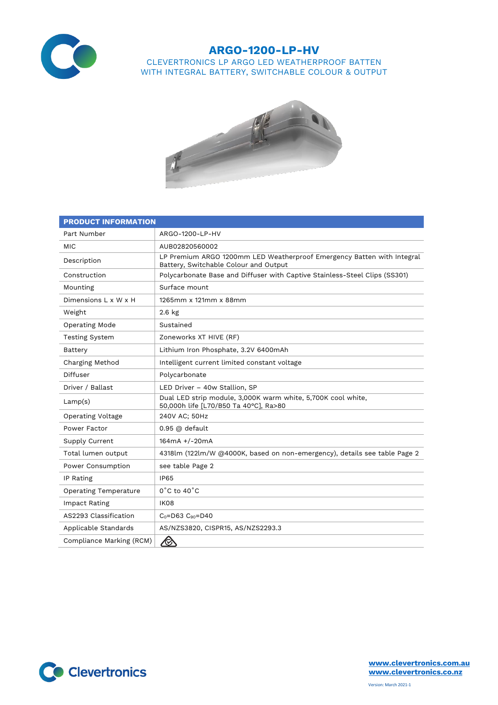

## **ARGO-1200-LP-HV** CLEVERTRONICS LP ARGO LED WEATHERPROOF BATTEN WITH INTEGRAL BATTERY, SWITCHABLE COLOUR & OUTPUT



| <b>PRODUCT INFORMATION</b>   |                                                                                                                 |  |  |  |  |
|------------------------------|-----------------------------------------------------------------------------------------------------------------|--|--|--|--|
| Part Number                  | ARGO-1200-LP-HV                                                                                                 |  |  |  |  |
| <b>MIC</b>                   | AUB02820560002                                                                                                  |  |  |  |  |
| Description                  | LP Premium ARGO 1200mm LED Weatherproof Emergency Batten with Integral<br>Battery, Switchable Colour and Output |  |  |  |  |
| Construction                 | Polycarbonate Base and Diffuser with Captive Stainless-Steel Clips (SS301)                                      |  |  |  |  |
| Mounting                     | Surface mount                                                                                                   |  |  |  |  |
| Dimensions L x W x H         | 1265mm x 121mm x 88mm                                                                                           |  |  |  |  |
| Weight                       | $2.6$ kg                                                                                                        |  |  |  |  |
| Operating Mode               | Sustained                                                                                                       |  |  |  |  |
| <b>Testing System</b>        | Zoneworks XT HIVE (RF)                                                                                          |  |  |  |  |
| Battery                      | Lithium Iron Phosphate, 3.2V 6400mAh                                                                            |  |  |  |  |
| Charging Method              | Intelligent current limited constant voltage                                                                    |  |  |  |  |
| Diffuser                     | Polycarbonate                                                                                                   |  |  |  |  |
| Driver / Ballast             | LED Driver - 40w Stallion, SP                                                                                   |  |  |  |  |
| Lamp(s)                      | Dual LED strip module, 3,000K warm white, 5,700K cool white,<br>50,000h life [L70/B50 Ta 40°C], Ra>80           |  |  |  |  |
| Operating Voltage            | 240V AC; 50Hz                                                                                                   |  |  |  |  |
| Power Factor                 | $0.95$ @ default                                                                                                |  |  |  |  |
| Supply Current               | $164mA + (-20mA)$                                                                                               |  |  |  |  |
| Total lumen output           | 4318lm (122lm/W @4000K, based on non-emergency), details see table Page 2                                       |  |  |  |  |
| Power Consumption            | see table Page 2                                                                                                |  |  |  |  |
| IP Rating                    | <b>IP65</b>                                                                                                     |  |  |  |  |
| <b>Operating Temperature</b> | $0^{\circ}$ C to $40^{\circ}$ C                                                                                 |  |  |  |  |
| Impact Rating                | IK08                                                                                                            |  |  |  |  |
| AS2293 Classification        | $C_0 = D63$ $C_{90} = D40$                                                                                      |  |  |  |  |
| Applicable Standards         | AS/NZS3820, CISPR15, AS/NZS2293.3                                                                               |  |  |  |  |
| Compliance Marking (RCM)     |                                                                                                                 |  |  |  |  |